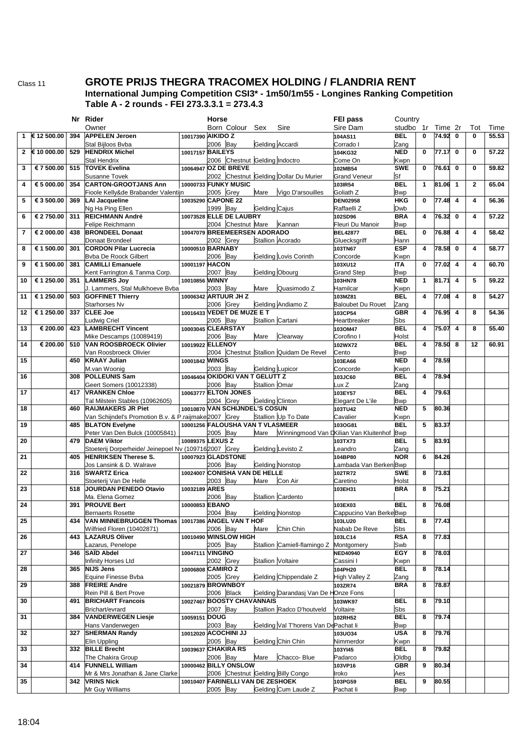Class 11

## **GROTE PRIJS THEGRA TRACOMEX HOLDING / FLANDRIA RENT** International Jumping Competition CSI3\* - 1m50/1m55 - Longines Ranking Competition Table A - 2 rounds - FEI 273.3.3.1 = 273.4.3

|    |               |     | Nr Rider                                                                            |                         | Horse      |                                   |                        |                                        | FEI pass                                | Country                  |              |         |                         |                         |       |
|----|---------------|-----|-------------------------------------------------------------------------------------|-------------------------|------------|-----------------------------------|------------------------|----------------------------------------|-----------------------------------------|--------------------------|--------------|---------|-------------------------|-------------------------|-------|
|    |               |     | Owner                                                                               |                         |            | Born Colour                       | Sex                    | Sire                                   | Sire Dam                                | studbo                   | 1r           | Time 2r |                         | Tot                     | Time  |
| 1  | € 12 500.00   | 394 | <b>APPELEN Jeroen</b>                                                               | 10017390 AIKIDO Z       |            |                                   |                        |                                        | 104AS11                                 | <b>BEL</b>               | 0            | 74.92 0 |                         | $\bf{0}$                | 55.53 |
|    | 2 € 10 000.00 | 529 | Stal Bijloos Bvba<br><b>HENDRIX Michel</b>                                          | 10017157 BAILEYS        | 2006 Bay   |                                   | Gelding Accardi        |                                        | Corrado I<br>104KG32                    | Zang<br><b>NED</b>       | 0            | 77.17   | $\mathbf 0$             | 0                       | 57.22 |
|    |               |     | <b>Stal Hendrix</b>                                                                 |                         |            | 2006 Chestnut Gelding Indoctro    |                        |                                        | Come On                                 | Kwpn                     |              |         |                         |                         |       |
| 3  | € 7 500.00    | 515 | <b>TOVEK Evelina</b>                                                                | 10064947 OZ DE BREVE    |            |                                   |                        |                                        | 102MB54                                 | <b>SWE</b>               | $\mathbf{0}$ | 76.61   | $\mathbf 0$             | $\bf{0}$                | 59.82 |
|    |               |     | <b>Susanne Tovek</b>                                                                |                         |            |                                   |                        | 2002 Chestnut Gelding Dollar Du Murier | <b>Grand Veneur</b>                     | Sf                       |              |         |                         |                         |       |
| 4  | € 5 000.00    | 354 | <b>CARTON-GROOTJANS Ann</b>                                                         | 10000733 FUNKY MUSIC    |            |                                   |                        |                                        | 103IR54                                 | <b>BEL</b>               | 1            | 81.06   | $\mathbf{1}$            | $\mathbf{2}$            | 65.04 |
| 5  | € 3 500.00    | 369 | Fioole Kelly&de Brabander Valentijn<br><b>LAI Jacqueline</b>                        | 10035290 CAPONE 22      | 2005 Grey  |                                   | Mare                   | Vigo D'arsouilles                      | Goliath <sub>Z</sub><br><b>DEN02958</b> | <b>Bwp</b><br><b>HKG</b> | $\mathbf{0}$ | 77.48   | $\overline{\mathbf{4}}$ | 4                       | 56.36 |
|    |               |     | Ng Ha Ping Ellen                                                                    |                         | 1999 Bay   |                                   | Gelding Cajus          |                                        | Raffaelli Z                             | Dwb                      |              |         |                         |                         |       |
| 6  | € 2 750.00    | 311 | REICHMANN André                                                                     |                         |            | 10073528 ELLE DE LAUBRY           |                        |                                        | 102SD96                                 | <b>BRA</b>               | 4            | 76.32   | $\mathbf 0$             | 4                       | 57.22 |
|    |               |     | Felipe Reichmann                                                                    |                         |            | 2004 Chestnut Mare                |                        | Kannan                                 | Fleuri Du Manoir                        | <b>Bwp</b>               |              |         |                         |                         |       |
| 7  | € 2 000.00    | 438 | <b>BRONDEEL</b> Donaat                                                              |                         |            | 10047079 BREEMEERSEN ADORADO      |                        |                                        | <b>BEL42877</b>                         | <b>BEL</b>               | 0            | 76.88   | $\overline{\mathbf{4}}$ | $\overline{\mathbf{4}}$ | 58.42 |
| 8  | € 1 500.00    | 301 | Donaat Brondeel<br><b>CORDON Pilar Lucrecia</b>                                     | 10000510 BARNABY        | 2002 Grey  |                                   |                        | Stallion Acorado                       | Gluecksgriff<br>103TN67                 | Hann<br><b>ESP</b>       | 4            | 78.58   | $\mathbf 0$             | 4                       | 58.77 |
|    |               |     | <b>Byba De Roock Gilbert</b>                                                        |                         | 2006 Bay   |                                   |                        | <b>Gelding Lovis Corinth</b>           | Concorde                                | Kwpn                     |              |         |                         |                         |       |
| 9  | € 1 500.00    | 381 | <b>CAMILLI Emanuele</b>                                                             | 10001197 HACON          |            |                                   |                        |                                        | 103XU12                                 | <b>ITA</b>               | $\mathbf{0}$ | 77.02   | $\overline{4}$          | $\overline{\mathbf{4}}$ | 60.70 |
|    |               |     | Kent Farrington & Tanma Corp.                                                       |                         | 2007 Bay   |                                   | <b>Gelding Obourg</b>  |                                        | <b>Grand Step</b>                       | <b>Bwp</b>               |              |         |                         |                         |       |
| 10 | € 1 250.00    | 351 | <b>LAMMERS Joy</b>                                                                  | 10010856 WINNY          |            |                                   |                        | Quasimodo Z                            | 103HN78                                 | <b>NED</b>               | $\mathbf{1}$ | 81.71   | $\overline{\mathbf{4}}$ | 5                       | 59.22 |
| 11 | € 1 250.00    | 503 | J. Lammers, Stal Mulkhoeve Bvba<br><b>GOFFINET Thierry</b>                          | 10006342 ARTUUR JH Z    | 2003 Bay   |                                   | Mare                   |                                        | Hamilcar<br>103MZ81                     | Kwpn<br><b>BEL</b>       | 4            | 77.08   | $\overline{\mathbf{4}}$ | 8                       | 54.27 |
|    |               |     | Starhorses Nv                                                                       |                         | 2006 Grey  |                                   |                        | Gelding Andiamo Z                      | <b>Baloubet Du Rouet</b>                | Zang                     |              |         |                         |                         |       |
| 12 | € 1 250.00    | 337 | <b>CLEE Joe</b>                                                                     |                         |            | 10016433 VEDET DE MUZE E T        |                        |                                        | 103CP54                                 | <b>GBR</b>               | 4            | 76.95   | $\overline{\mathbf{4}}$ | 8                       | 54.36 |
|    |               |     | Ludwig Criel                                                                        |                         | 2005 Bay   |                                   | Stallion Cartani       |                                        | Heartbreaker                            | Sbs                      |              |         |                         |                         |       |
| 13 | € 200.00      | 423 | <b>LAMBRECHT Vincent</b><br>Mike Descamps (10089419)                                | 10003045 CLEARSTAY      | 2006 Bay   |                                   | Mare                   | Clearway                               | 103OM47<br>Corofino I                   | <b>BEL</b><br>Holst      | 4            | 75.07   | $\overline{\mathbf{4}}$ | 8                       | 55.40 |
| 14 | € 200.00      | 510 | <b>VAN ROOSBROECK Olivier</b>                                                       | 10019922 ELLENOY        |            |                                   |                        |                                        | 102WX72                                 | <b>BEL</b>               | 4            | 78.50   | 8                       | 12                      | 60.91 |
|    |               |     | Van Roosbroeck Olivier                                                              |                         |            |                                   |                        | 2004 Chestnut Stallion Quidam De Revel | Cento                                   | <b>Bwp</b>               |              |         |                         |                         |       |
| 15 |               | 450 | <b>KRAAY Julian</b>                                                                 | 10001842 WINGS          |            |                                   |                        |                                        | 103EA66                                 | <b>NED</b>               | 4            | 78.59   |                         |                         |       |
|    |               |     | M.van Woonig                                                                        |                         | 2003 Bay   | 10046404 OKIDOKI VAN T GELUTT Z   | <b>Gelding Lupicor</b> |                                        | Concorde                                | Kwpn                     | 4            |         |                         |                         |       |
| 16 |               | 308 | <b>POLLEUNIS Sam</b><br>Geert Somers (10012338)                                     |                         | 2006 Bay   |                                   | Stallion Omar          |                                        | 103JC60<br>ux Z                         | <b>BEL</b><br>Zang       |              | 78.94   |                         |                         |       |
| 17 |               | 417 | <b>VRANKEN Chloe</b>                                                                |                         |            | 10063777 ELTON JONES              |                        |                                        | 103EY57                                 | <b>BEL</b>               | 4            | 79.63   |                         |                         |       |
|    |               |     | Tal Milstein Stables (10962605)                                                     |                         | 2004 Grey  |                                   | <b>Gelding Clinton</b> |                                        | Elegant De L'ile                        | <b>Bwp</b>               |              |         |                         |                         |       |
| 18 |               | 460 | <b>RAIJMAKERS JR Piet</b><br>Van Schijndel's Promotion B.v. & P.raijmake 2007 Grey  |                         |            | 10010870 VAN SCHIJNDEL'S COSUN    |                        | Stallion Up To Date                    | 103TU42<br>Cavalier                     | <b>NED</b>               | 5            | 80.36   |                         |                         |       |
| 19 |               | 485 | <b>BLATON Evelyne</b>                                                               |                         |            | 10001256 FALOUSHA VAN T VLASMEER  |                        |                                        | 103OG81                                 | Kwpn<br><b>BEL</b>       | 5            | 83.37   |                         |                         |       |
|    |               |     | Peter Van Den Bulck (10005841)                                                      |                         | 2005 Bay   |                                   | Mare                   |                                        | Winningmood Van DKilian Van Kluitenhof  | <b>Bwp</b>               |              |         |                         |                         |       |
| 20 |               | 479 | <b>DAEM Viktor</b>                                                                  | 10089375 LEXUS Z        |            |                                   |                        |                                        | 103TX73                                 | <b>BEL</b>               | 5            | 83.91   |                         |                         |       |
| 21 |               | 405 | Stoeterij Dorperheide/ Jeinepoel Nv (1097162007 Grey<br><b>HENRIKSEN Therese S.</b> | 10007923 GLADSTONE      |            |                                   |                        | Gelding Levisto Z                      | eandro<br>104BP80                       | Zang<br><b>NOR</b>       | 6            | 84.26   |                         |                         |       |
|    |               |     | Jos Lansink & D. Walrave                                                            |                         | 2006 Bay   |                                   |                        | <b>Gelding Nonstop</b>                 | ambada Van BerkenBwp                    |                          |              |         |                         |                         |       |
| 22 |               | 316 | <b>SWARTZ Erica</b>                                                                 |                         |            | 10024007 CONISHA VAN DE HELLE     |                        |                                        | 102TR72                                 | <b>SWE</b>               | 8            | 73.83   |                         |                         |       |
|    |               |     | Stoeterij Van De Helle                                                              |                         | 2003 Bay   |                                   | Mare                   | Con Air                                | Caretino                                | Holst                    |              |         |                         |                         |       |
| 23 |               | 518 | JOURDAN PENEDO Otavio<br>Ma. Elena Gomez                                            | 10032189 ARES           | 2006 Bay   |                                   |                        | Stallion Cardento                      | 103EH31                                 | <b>BRA</b>               | 8            | 75.21   |                         |                         |       |
| 24 |               | 391 | <b>PROUVE Bert</b>                                                                  | 10000853 EBANO          |            |                                   |                        |                                        | 103EX03                                 | <b>BEL</b>               | 8            | 76.08   |                         |                         |       |
|    |               |     | <b>Bernaerts Rosette</b>                                                            |                         | 2004 Bay   |                                   |                        | <b>Gelding Nonstop</b>                 | Cappucino Van BerkeBwp                  |                          |              |         |                         |                         |       |
| 25 |               |     | 434 VAN MINNEBRUGGEN Thomas 10017386 ANGEL VAN THOF                                 |                         |            |                                   |                        |                                        | 103LU20                                 | BEL                      | 8            | 77.43   |                         |                         |       |
| 26 |               | 443 | Wilfried Floren (10402871)<br><b>LAZARUS Oliver</b>                                 |                         | 2006 Bay   | 10010490 WINSLOW HIGH             | Mare                   | Chin Chin                              | Nabab De Reve<br>103LC14                | Sbs<br><b>RSA</b>        | 8            | 77.83   |                         |                         |       |
|    |               |     | Lazarus, Penelope                                                                   |                         | 2005 Bay   |                                   |                        | Stallion Camiell-flamingo Z Montgomery |                                         | Swb                      |              |         |                         |                         |       |
| 27 |               | 346 | SAÏD Abdel                                                                          | 10047111 <b>VINGINO</b> |            |                                   |                        |                                        | <b>NED40940</b>                         | EGY                      | 8            | 78.03   |                         |                         |       |
|    |               |     | Infinity Horses Ltd                                                                 |                         | 2002 Grey  |                                   |                        | <b>Stallion Voltaire</b>               | Cassini I                               | Kwpn                     |              |         |                         |                         |       |
| 28 |               | 365 | <b>NIJS Jens</b><br>Equine Finesse Bvba                                             | 10006808 CAMIRO Z       | 2005 Grey  |                                   |                        | Gelding Chippendale Z                  | 104PH20<br>High Valley Z                | <b>BEL</b><br>Zang       | 8            | 78.14   |                         |                         |       |
| 29 |               | 388 | <b>FREIRE Andre</b>                                                                 | 10021879 BROWNBOY       |            |                                   |                        |                                        | 103ZR74                                 | <b>BRA</b>               | 8            | 78.87   |                         |                         |       |
|    |               |     | Rein Pill & Bert Prove                                                              |                         | 2006 Black |                                   |                        | Gelding Darandasj Van De HOnze Fons    |                                         |                          |              |         |                         |                         |       |
| 30 |               | 491 | <b>BRICHART Francois</b>                                                            |                         |            | 10027467 BOOSTY CHAVANNAIS        |                        |                                        | 103WK97                                 | <b>BEL</b>               | 8            | 79.10   |                         |                         |       |
| 31 |               | 384 | Brichart/evrard<br><b>VANDERWEGEN Liesje</b>                                        | 10059151 DOUG           | 2007 Bay   |                                   |                        | Stallion Radco D'houtveld              | Voltaire<br>102RH52                     | Sbs<br><b>BEL</b>        | 8            | 79.74   |                         |                         |       |
|    |               |     | Hans Vanderwegen                                                                    |                         | 2003 Bay   |                                   |                        | Gelding Val T'horens Van DePachat li   |                                         | <b>Bwp</b>               |              |         |                         |                         |       |
| 32 |               | 327 | <b>SHERMAN Randy</b>                                                                | 10012020 ACOCHINI JJ    |            |                                   |                        |                                        | 103UO34                                 | <b>USA</b>               | 8            | 79.76   |                         |                         |       |
|    |               |     | Elin Uppling                                                                        |                         | 2005 Bay   |                                   |                        | Gelding Chin Chin                      | Nimmerdor                               | Kwpn                     |              |         |                         |                         |       |
| 33 |               |     | 332 BILLE Brecht<br>The Chakira Group                                               | 10039637 CHAKIRA RS     | 2006 Bay   |                                   | Mare                   | Chacco-Blue                            | 103YI45<br>Padarco                      | <b>BEL</b><br>Oldbg      | 8            | 79.82   |                         |                         |       |
| 34 |               |     | 414 FUNNELL William                                                                 |                         |            | 10000462 BILLY ONSLOW             |                        |                                        | 103VP16                                 | <b>GBR</b>               | 9            | 80.34   |                         |                         |       |
|    |               |     | Mr & Mrs Jonathan & Jane Clarke                                                     |                         |            |                                   |                        | 2006 Chestnut Gelding Billy Congo      | Iroko                                   | Aes                      |              |         |                         |                         |       |
| 35 |               | 342 | <b>VRINS Nick</b>                                                                   |                         |            | 10010407 FARINELLI VAN DE ZESHOEK |                        |                                        | 103PG59                                 | <b>BEL</b>               | 9            | 80.55   |                         |                         |       |
|    |               |     | Mr Guy Williams                                                                     |                         | 2005 Bay   |                                   |                        | Gelding Cum Laude Z                    | Pachat li                               | <b>Bwp</b>               |              |         |                         |                         |       |